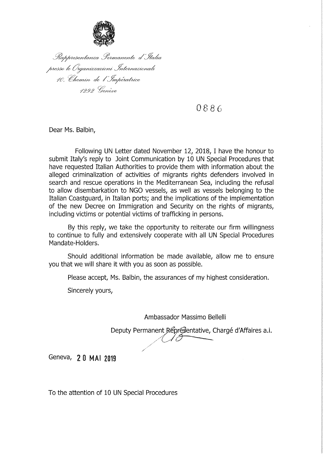

Rappresentanza Permanente d'Italia . . .<br>presso le Organizzazioni Internazionali<br>10. Chemin de l'Impératrice 1999 Genève

# 0886

Dear Ms. Balbin,

Following UN Letter dated November 12, 2018, I have the honour to submit Italy's reply to Joint Communication by 10 UN Special Procedures that have requested Italian Authorities to provide them with information about the alleged criminalization of activities of migrants rights defenders involved in search and rescue operations in the Mediterranean Sea, including the refusal to allow disembarkation to NGO vessels, as well as vessels belonging to the Italian Coastguard, in Italian ports; and the implications of the implementation of the new Decree on Immigration and Security on the rights of migrants, including victims or potential victims of trafficking in persons.

By this reply, we take the opportunity to reiterate our firm willingness to continue to fully and extensively cooperate with all UN Special Procedures Mandate-Holders.

Should additional information be made available, allow me to ensure you that we will share it with you as soon as possible.

Please accept, Ms. Balbin, the assurances of my highest consideration.

Sincerely yours,

Ambassador Massimo Bellelli

Deputy Permanent Réprésentative, Chargé d'Affaires a.i. くノラ

Geneva, 20 MAI 2019

To the attention of 10 UN Special Procedures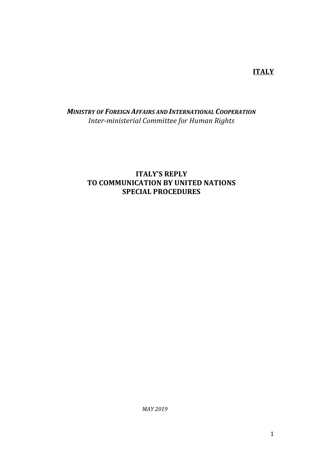## **ITALY**

## *MINISTRY OF FOREIGN AFFAIRS AND INTERNATIONAL COOPERATION Inter-ministerial Committee for Human Rights*

## **ITALY'S REPLY TO COMMUNICATION BY UNITED NATIONS SPECIAL PROCEDURES**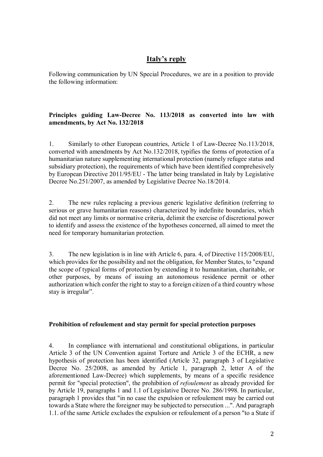## **Italy's reply**

Following communication by UN Special Procedures, we are in a position to provide the following information:

## **Principles guiding Law-Decree No. 113/2018 as converted into law with amendments, by Act No. 132/2018**

1. Similarly to other European countries, Article 1 of Law-Decree No.113/2018, converted with amendments by Act No.132/2018, typifies the forms of protection of a humanitarian nature supplementing international protection (namely refugee status and subsidiary protection), the requirements of which have been identified comprehesively by European Directive 2011/95/EU - The latter being translated in Italy by Legislative Decree No.251/2007, as amended by Legislative Decree No.18/2014.

2. The new rules replacing a previous generic legislative definition (referring to serious or grave humanitarian reasons) characterized by indefinite boundaries, which did not meet any limits or normative criteria, delimit the exercise of discretional power to identify and assess the existence of the hypotheses concerned, all aimed to meet the need for temporary humanitarian protection.

3. The new legislation is in line with Article 6, para. 4, of Directive 115/2008/EU, which provides for the possibility and not the obligation, for Member States, to "expand" the scope of typical forms of protection by extending it to humanitarian, charitable, or other purposes, by means of issuing an autonomous residence permit or other authorization which confer the right to stay to a foreign citizen of a third country whose stay is irregular".

### **Prohibition of refoulement and stay permit for special protection purposes**

4. In compliance with international and constitutional obligations, in particular Article 3 of the UN Convention against Torture and Article 3 of the ECHR, a new hypothesis of protection has been identified (Article 32, paragraph 3 of Legislative Decree No. 25/2008, as amended by Article 1, paragraph 2, letter A of the aforementioned Law-Decree) which supplements, by means of a specific residence permit for "special protection", the prohibition of *refoulement* as already provided for by Article 19, paragraphs 1 and 1.1 of Legislative Decree No. 286/1998. In particular, paragraph 1 provides that "in no case the expulsion or refoulement may be carried out towards a State where the foreigner may be subjected to persecution ...". And paragraph 1.1. of the same Article excludes the expulsion or refoulement of a person "to a State if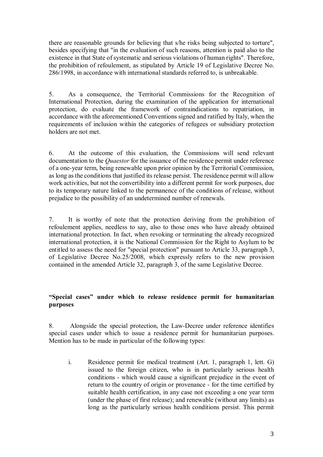there are reasonable grounds for believing that s/he risks being subjected to torture", besides specifying that "in the evaluation of such reasons, attention is paid also to the existence in that State of systematic and serious violations of human rights". Therefore, the prohibition of refoulement, as stipulated by Article 19 of Legislative Decree No. 286/1998, in accordance with international standards referred to, is unbreakable.

5. As a consequence, the Territorial Commissions for the Recognition of International Protection, during the examination of the application for international protection, do evaluate the framework of contraindications to repatriation, in accordance with the aforementioned Conventions signed and ratified by Italy, when the requirements of inclusion within the categories of refugees or subsidiary protection holders are not met.

6. At the outcome of this evaluation, the Commissions will send relevant documentation to the *Quaestor* for the issuance of the residence permit under reference of a one-year term, being renewable upon prior opinion by the Territorial Commission, as long as the conditions that justified its release persist. The residence permit will allow work activities, but not the convertibility into a different permit for work purposes, due to its temporary nature linked to the permanence of the conditions of release, without prejudice to the possibility of an undetermined number of renewals.

7. It is worthy of note that the protection deriving from the prohibition of refoulement applies, needless to say, also to those ones who have already obtained international protection. In fact, when revoking or terminating the already recognized international protection, it is the National Commission for the Right to Asylum to be entitled to assess the need for "special protection" pursuant to Article 33, paragraph 3, of Legislative Decree No.25/2008, which expressly refers to the new provision contained in the amended Article 32, paragraph 3, of the same Legislative Decree.

## **"Special cases" under which to release residence permit for humanitarian purposes**

8. Alongside the special protection, the Law-Decree under reference identifies special cases under which to issue a residence permit for humanitarian purposes. Mention has to be made in particular of the following types:

i. Residence permit for medical treatment (Art. 1, paragraph 1, lett. G) issued to the foreign citizen, who is in particularly serious health conditions - which would cause a significant prejudice in the event of return to the country of origin or provenance - for the time certified by suitable health certification, in any case not exceeding a one year term (under the phase of first release); and renewable (without any limits) as long as the particularly serious health conditions persist. This permit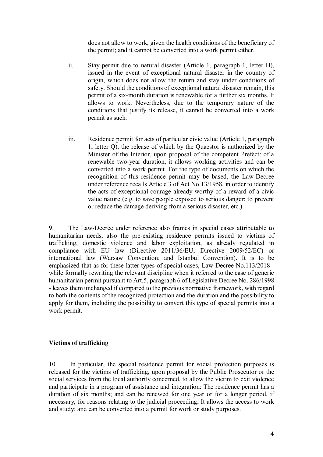does not allow to work, given the health conditions of the beneficiary of the permit; and it cannot be converted into a work permit either.

- ii. Stay permit due to natural disaster (Article 1, paragraph 1, letter H), issued in the event of exceptional natural disaster in the country of origin, which does not allow the return and stay under conditions of safety. Should the conditions of exceptional natural disaster remain, this permit of a six-month duration is renewable for a further six months. It allows to work. Nevertheless, due to the temporary nature of the conditions that justify its release, it cannot be converted into a work permit as such.
- iii. Residence permit for acts of particular civic value (Article 1, paragraph 1, letter Q), the release of which by the Quaestor is authorized by the Minister of the Interior, upon proposal of the competent Prefect: of a renewable two-year duration, it allows working activities and can be converted into a work permit. For the type of documents on which the recognition of this residence permit may be based, the Law-Decree under reference recalls Article 3 of Act No.13/1958, in order to identify the acts of exceptional courage already worthy of a reward of a civic value nature (e.g. to save people exposed to serious danger; to prevent or reduce the damage deriving from a serious disaster, etc.).

9. The Law-Decree under reference also frames in special cases attributable to humanitarian needs, also the pre-existing residence permits issued to victims of trafficking, domestic violence and labor exploitation, as already regulated in compliance with EU law (Directive 2011/36/EU; Directive 2009/52/EC) or international law (Warsaw Convention; and Istanbul Convention). It is to be emphasized that as for these latter types of special cases, Law-Decree No.113/2018 while formally rewriting the relevant discipline when it referred to the case of generic humanitarian permit pursuant to Art.5, paragraph 6 of Legislative Decree No. 286/1998 - leaves them unchanged if compared to the previous normative framework, with regard to both the contents of the recognized protection and the duration and the possibility to apply for them, including the possibility to convert this type of special permits into a work permit.

#### **Victims of trafficking**

10. In particular, the special residence permit for social protection purposes is released for the victims of trafficking, upon proposal by the Public Prosecutor or the social services from the local authority concerned, to allow the victim to exit violence and participate in a program of assistance and integration: The residence permit has a duration of six months; and can be renewed for one year or for a longer period, if necessary, for reasons relating to the judicial proceeding; It allows the access to work and study; and can be converted into a permit for work or study purposes.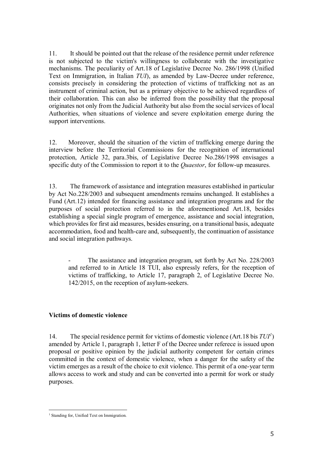11. It should be pointed out that the release of the residence permit under reference is not subjected to the victim's willingness to collaborate with the investigative mechanisms. The peculiarity of Art.18 of Legislative Decree No. 286/1998 (Unified Text on Immigration, in Italian *TUI*), as amended by Law-Decree under reference, consists precisely in considering the protection of victims of trafficking not as an instrument of criminal action, but as a primary objective to be achieved regardless of their collaboration. This can also be inferred from the possibility that the proposal originates not only from the Judicial Authority but also from the social services of local Authorities, when situations of violence and severe exploitation emerge during the support interventions.

12. Moreover, should the situation of the victim of trafficking emerge during the interview before the Territorial Commissions for the recognition of international protection, Article 32, para.3bis, of Legislative Decree No.286/1998 envisages a specific duty of the Commission to report it to the *Quaestor*, for follow-up measures.

13. The framework of assistance and integration measures established in particular by Act No.228/2003 and subsequent amendments remains unchanged. It establishes a Fund (Art.12) intended for financing assistance and integration programs and for the purposes of social protection referred to in the aforementioned Art.18, besides establishing a special single program of emergence, assistance and social integration, which provides for first aid measures, besides ensuring, on a transitional basis, adequate accommodation, food and health-care and, subsequently, the continuation of assistance and social integration pathways.

The assistance and integration program, set forth by Act No. 228/2003 and referred to in Article 18 TUI, also expressly refers, for the reception of victims of trafficking, to Article 17, paragraph 2, of Legislative Decree No. 142/2015, on the reception of asylum-seekers.

#### **Victims of domestic violence**

14. The special residence permit for victims of domestic violence (Art.18 bis *TUI<sup>1</sup>* ) amended by Article 1, paragraph 1, letter F of the Decree under referece is issued upon proposal or positive opinion by the judicial authority competent for certain crimes committed in the context of domestic violence, when a danger for the safety of the victim emerges as a result of the choice to exit violence. This permit of a one-year term allows access to work and study and can be converted into a permit for work or study purposes.

 $\overline{a}$ 

<sup>&</sup>lt;sup>1</sup> Standing for, Unified Text on Immigration.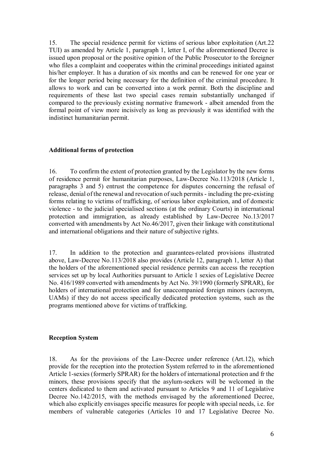15. The special residence permit for victims of serious labor exploitation (Art.22 TUI) as amended by Article 1, paragraph 1, letter I, of the aforementioned Decree is issued upon proposal or the positive opinion of the Public Prosecutor to the foreigner who files a complaint and cooperates within the criminal proceedings initiated against his/her employer. It has a duration of six months and can be renewed for one year or for the longer period being necessary for the definition of the criminal procedure. It allows to work and can be converted into a work permit. Both the discipline and requirements of these last two special cases remain substantially unchanged if compared to the previously existing normative framework - albeit amended from the formal point of view more incisively as long as previously it was identified with the indistinct humanitarian permit.

#### **Additional forms of protection**

16. To confirm the extent of protection granted by the Legislator by the new forms of residence permit for humanitarian purposes, Law-Decree No.113/2018 (Article 1, paragraphs 3 and 5) entrust the competence for disputes concerning the refusal of release, denial of the renewal and revocation of such permits - including the pre-existing forms relating to victims of trafficking, of serious labor exploitation, and of domestic violence - to the judicial specialised sections (at the ordinary Courts) in international protection and immigration, as already established by Law-Decree No.13/2017 converted with amendments by Act No.46/2017, given their linkage with constitutional and international obligations and their nature of subjective rights.

17. In addition to the protection and guarantees-related provisions illustrated above, Law-Decree No.113/2018 also provides (Article 12, paragraph 1, letter A) that the holders of the aforementioned special residence permits can access the reception services set up by local Authorities pursuant to Article 1 sexies of Legislative Decree No. 416/1989 converted with amendments by Act No. 39/1990 (formerly SPRAR), for holders of international protection and for unaccompanied foreign minors (acronym, UAMs) if they do not access specifically dedicated protection systems, such as the programs mentioned above for victims of trafficking.

### **Reception System**

18. As for the provisions of the Law-Decree under reference (Art.12), which provide for the reception into the protection System referred to in the aforementioned Article 1-sexies (formerly SPRAR) for the holders of international protection and fr the minors, these provisions specify that the asylum-seekers will be welcomed in the centers dedicated to them and activated pursuant to Articles 9 and 11 of Legislative Decree No.142/2015, with the methods envisaged by the aforementioned Decree, which also explicitly envisages specific measures for people with special needs, i.e. for members of vulnerable categories (Articles 10 and 17 Legislative Decree No.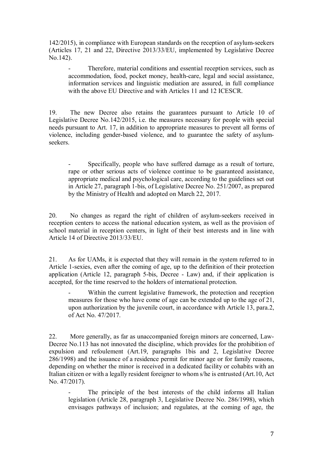142/2015), in compliance with European standards on the reception of asylum-seekers (Articles 17, 21 and 22, Directive 2013/33/EU, implemented by Legislative Decree No.142).

Therefore, material conditions and essential reception services, such as accommodation, food, pocket money, health-care, legal and social assistance, information services and linguistic mediation are assured, in full compliance with the above EU Directive and with Articles 11 and 12 ICESCR.

19. The new Decree also retains the guarantees pursuant to Article 10 of Legislative Decree No.142/2015, i.e. the measures necessary for people with special needs pursuant to Art. 17, in addition to appropriate measures to prevent all forms of violence, including gender-based violence, and to guarantee the safety of asylumseekers.

Specifically, people who have suffered damage as a result of torture, rape or other serious acts of violence continue to be guaranteed assistance, appropriate medical and psychological care, according to the guidelines set out in Article 27, paragraph 1-bis, of Legislative Decree No. 251/2007, as prepared by the Ministry of Health and adopted on March 22, 2017.

20. No changes as regard the right of children of asylum-seekers received in reception centers to access the national education system, as well as the provision of school material in reception centers, in light of their best interests and in line with Article 14 of Directive 2013/33/EU.

21. As for UAMs, it is expected that they will remain in the system referred to in Article 1-sexies, even after the coming of age, up to the definition of their protection application (Article 12, paragraph 5-bis, Decree - Law) and, if their application is accepted, for the time reserved to the holders of international protection.

Within the current legislative framework, the protection and reception measures for those who have come of age can be extended up to the age of 21, upon authorization by the juvenile court, in accordance with Article 13, para.2, of Act No. 47/2017.

22. More generally, as far as unaccompanied foreign minors are concerned, Law-Decree No.113 has not innovated the discipline, which provides for the prohibition of expulsion and refoulement (Art.19, paragraphs 1bis and 2, Legislative Decree 286/1998) and the issuance of a residence permit for minor age or for family reasons, depending on whether the minor is received in a dedicated facility or cohabits with an Italian citizen or with a legally resident foreigner to whom s/he is entrusted (Art.10, Act No. 47/2017).

The principle of the best interests of the child informs all Italian legislation (Article 28, paragraph 3, Legislative Decree No. 286/1998), which envisages pathways of inclusion; and regulates, at the coming of age, the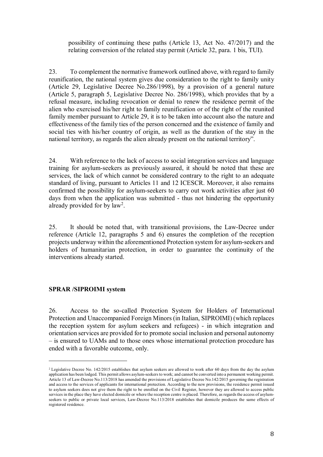possibility of continuing these paths (Article 13, Act No. 47/2017) and the relating conversion of the related stay permit (Article 32, para. 1 bis, TUI).

23. To complement the normative framework outlined above, with regard to family reunification, the national system gives due consideration to the right to family unity (Article 29, Legislative Decree No.286/1998), by a provision of a general nature (Article 5, paragraph 5, Legislative Decree No. 286/1998), which provides that by a refusal measure, including revocation or denial to renew the residence permit of the alien who exercised his/her right to family reunification or of the right of the reunited family member pursuant to Article 29, it is to be taken into account also the nature and effectiveness of the family ties of the person concerned and the existence of family and social ties with his/her country of origin, as well as the duration of the stay in the national territory, as regards the alien already present on the national territory".

24. With reference to the lack of access to social integration services and language training for asylum-seekers as previously assured, it should be noted that these are services, the lack of which cannot be considered contrary to the right to an adequate standard of living, pursuant to Articles 11 and 12 ICESCR. Moreover, it also remains confirmed the possibility for asylum-seekers to carry out work activities after just 60 days from when the application was submitted - thus not hindering the opportunity already provided for by  $law<sup>2</sup>$ .

25. It should be noted that, with transitional provisions, the Law-Decree under reference (Article 12, paragraphs 5 and 6) ensures the completion of the reception projects underway within the aforementioned Protection system for asylum-seekers and holders of humanitarian protection, in order to guarantee the continuity of the interventions already started.

### **SPRAR /SIPROIMI system**

 $\overline{a}$ 

26. Access to the so-called Protection System for Holders of International Protection and Unaccompanied Foreign Minors (in Italian, SIPROIMI) (which replaces the reception system for asylum seekers and refugees) - in which integration and orientation services are provided for to promote social inclusion and personal autonomy – is ensured to UAMs and to those ones whose international protection procedure has ended with a favorable outcome, only.

<sup>&</sup>lt;sup>2</sup> Legislative Decree No. 142/2015 establishes that asylum seekers are allowed to work after 60 days from the day the asylum application has been lodged. This permit allows asylum-seekers to work; and cannot be converted into a permanent working permit. Article 13 of Law-Decree No.113/2018 has amended the provisions of Legislative Decree No.142/2015 governing the registration and access to the services of applicants for international protection. According to the new provisions, the residence permit issued to asylum seekers does not give them the right to be enrolled on the Civil Register, however they are allowed to access public services in the place they have elected domicile or where the reception centre is placed. Therefore, as regards the access of asylumseekers to public or private local services, Law-Decree No.113/2018 establishes that domicile produces the same effects of registered residence.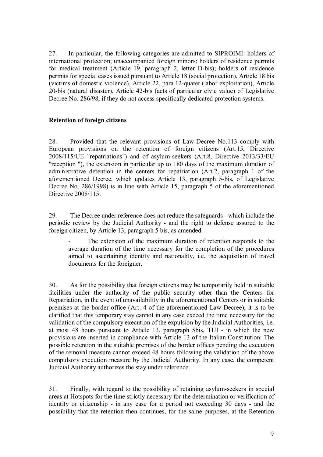27. In particular, the following categories are admitted to SIPROIMI: holders of international protection; unaccompanied foreign minors; holders of residence permits for medical treatment (Article 19, paragraph 2, letter D-bis); holders of residence permits for special cases issued pursuant to Article 18 (social protection), Article 18 bis (victims of domestic violence), Article 22, para.12-quater (labor exploitation), Article 20-bis (natural disaster), Article 42-bis (acts of particular civic value) of Legislative Decree No. 286/98, if they do not access specifically dedicated protection systems.

#### **Retention of foreign citizens**

28. Provided that the relevant provisions of Law-Decree No.113 comply with European provisions on the retention of foreign citizens (Art.15, Directive 2008/115/UE "repatriations") and of asylum-seekers (Art.8, Directive 2013/33/EU "reception "), the extension in particular up to 180 days of the maximum duration of administrative detention in the centers for repatriation (Art.2, paragraph 1 of the aforementioned Decree, which updates Article 13, paragraph 5-bis, of Legislative Decree No. 286/1998) is in line with Article 15, paragraph 5 of the aforementioned Directive 2008/115.

29. The Decree under reference does not reduce the safeguards - which include the periodic review by the Judicial Authority - and the right to defense assured to the foreign citizen, by Article 13, paragraph 5 bis, as amended.

The extension of the maximum duration of retention responds to the average duration of the time necessary for the completion of the procedures aimed to ascertaining identity and nationality, i.e. the acquisition of travel documents for the foreigner.

30. As for the possibility that foreign citizens may be temporarily held in suitable facilities under the authority of the public security other than the Centers for Repatriation, in the event of unavailability in the aforementioned Centers or in suitable premises at the border office (Art. 4 of the aforementioned Law-Decree), it is to be clarified that this temporary stay cannot in any case exceed the time necessary for the validation of the compulsory execution of the expulsion by the Judicial Authorities, i.e. at most 48 hours pursuant to Article 13, paragraph 5bis, TUI - in which the new provisions are inserted in compliance with Article 13 of the Italian Constitution: The possible retention in the suitable premises of the border offices pending the execution of the removal measure cannot exceed 48 hours following the validation of the above compulsory execution measure by the Judicial Authority. In any case, the competent Judicial Authority authorizes the stay under reference.

31. Finally, with regard to the possibility of retaining asylum-seekers in special areas at Hotspots for the time strictly necessary for the determination or verification of identity or citizenship - in any case for a period not exceeding 30 days - and the possibility that the retention then continues, for the same purposes, at the Retention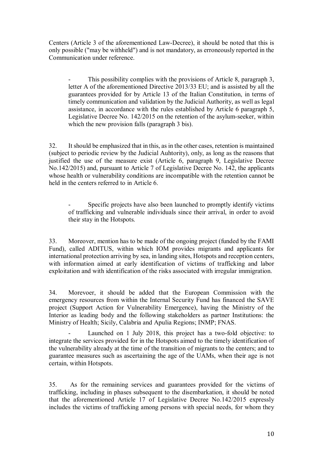Centers (Article 3 of the aforementioned Law-Decree), it should be noted that this is only possible ("may be withheld") and is not mandatory, as erroneously reported in the Communication under reference.

This possibility complies with the provisions of Article 8, paragraph 3, letter A of the aforementioned Directive 2013/33 EU; and is assisted by all the guarantees provided for by Article 13 of the Italian Constitution, in terms of timely communication and validation by the Judicial Authority, as well as legal assistance, in accordance with the rules established by Article 6 paragraph 5, Legislative Decree No. 142/2015 on the retention of the asylum-seeker, within which the new provision falls (paragraph 3 bis).

32. It should be emphasized that in this, as in the other cases, retention is maintained (subject to periodic review by the Judicial Auhtority), only, as long as the reasons that justified the use of the measure exist (Article 6, paragraph 9, Legislative Decree No.142/2015) and, pursuant to Article 7 of Legislative Decree No. 142, the applicants whose health or vulnerability conditions are incompatible with the retention cannot be held in the centers referred to in Article 6.

Specific projects have also been launched to promptly identify victims of trafficking and vulnerable individuals since their arrival, in order to avoid their stay in the Hotspots.

33. Moreover, mention has to be made of the ongoing project (funded by the FAMI Fund), called ADITUS, within which IOM provides migrants and applicants for international protection arriving by sea, in landing sites, Hotspots and reception centers, with information aimed at early identification of victims of trafficking and labor exploitation and with identification of the risks associated with irregular immigration.

34. Morevoer, it should be added that the European Commission with the emergency resources from within the Internal Security Fund has financed the SAVE project (Support Action for Vulnerability Emergence), having the Ministry of the Interior as leading body and the following stakeholders as partner Institutions: the Ministry of Health; Sicily, Calabria and Apulia Regions; INMP; FNAS.

Launched on 1 July 2018, this project has a two-fold objective: to integrate the services provided for in the Hotspots aimed to the timely identification of the vulnerability already at the time of the transition of migrants to the centers; and to guarantee measures such as ascertaining the age of the UAMs, when their age is not certain, within Hotspots.

35. As for the remaining services and guarantees provided for the victims of trafficking, including in phases subsequent to the disembarkation, it should be noted that the aforementioned Article 17 of Legislative Decree No.142/2015 expressly includes the victims of trafficking among persons with special needs, for whom they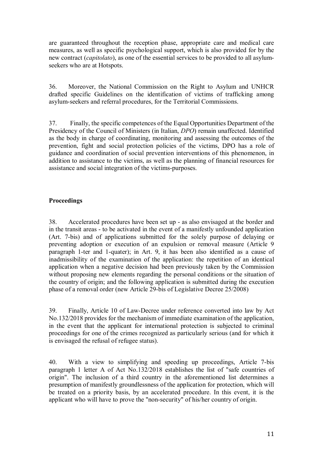are guaranteed throughout the reception phase, appropriate care and medical care measures, as well as specific psychological support, which is also provided for by the new contract (*capitolato*), as one of the essential services to be provided to all asylumseekers who are at Hotspots.

36. Moreover, the National Commission on the Right to Asylum and UNHCR drafted specific Guidelines on the identification of victims of trafficking among asylum-seekers and referral procedures, for the Territorial Commissions.

37. Finally, the specific competences of the Equal Opportunities Department of the Presidency of the Council of Ministers (in Italian, *DPO*) remain unaffected. Identified as the body in charge of coordinating, monitoring and assessing the outcomes of the prevention, fight and social protection policies of the victims, DPO has a role of guidance and coordination of social prevention interventions of this phenomenon, in addition to assistance to the victims, as well as the planning of financial resources for assistance and social integration of the victims-purposes.

## **Proceedings**

38. Accelerated procedures have been set up - as also envisaged at the border and in the transit areas - to be activated in the event of a manifestly unfounded application (Art. 7-bis) and of applications submitted for the solely purpose of delaying or preventing adoption or execution of an expulsion or removal measure (Article 9 paragraph 1-ter and 1-quater); in Art. 9, it has been also identified as a cause of inadmissibility of the examination of the application: the repetition of an identical application when a negative decision had been previously taken by the Commission without proposing new elements regarding the personal conditions or the situation of the country of origin; and the following application is submitted during the execution phase of a removal order (new Article 29-bis of Legislative Decree 25/2008)

39. Finally, Article 10 of Law-Decree under reference converted into law by Act No.132/2018 provides for the mechanism of immediate examination of the application, in the event that the applicant for international protection is subjected to criminal proceedings for one of the crimes recognized as particularly serious (and for which it is envisaged the refusal of refugee status).

40. With a view to simplifying and speeding up proceedings, Article 7-bis paragraph 1 letter A of Act No.132/2018 establishes the list of "safe countries of origin". The inclusion of a third country in the aforementioned list determines a presumption of manifestly groundlessness of the application for protection, which will be treated on a priority basis, by an accelerated procedure. In this event, it is the applicant who will have to prove the "non-security" of his/her country of origin.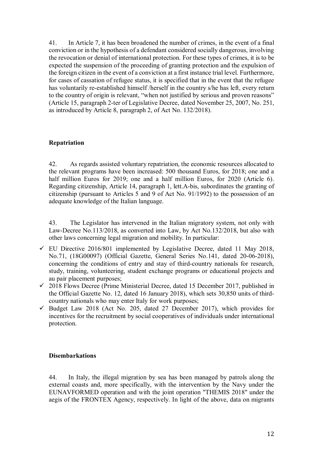41. In Article 7, it has been broadened the number of crimes, in the event of a final conviction or in the hypothesis of a defendant considered socially dangerous, involving the revocation or denial of international protection. For these types of crimes, it is to be expected the suspension of the proceeding of granting protection and the expulsion of the foreign citizen in the event of a conviction at a first instance trial level. Furthermore, for cases of cassation of refugee status, it is specified that in the event that the refugee has voluntarily re-established himself /herself in the country s/he has left, every return to the country of origin is relevant, "when not justified by serious and proven reasons" (Article 15, paragraph 2-ter of Legislative Decree, dated November 25, 2007, No. 251, as introduced by Article 8, paragraph 2, of Act No. 132/2018).

### **Repatriation**

42. As regards assisted voluntary repatriation, the economic resources allocated to the relevant programs have been increased: 500 thousand Euros, for 2018; one and a half million Euros for 2019; one and a half million Euros, for 2020 (Article 6). Regarding citizenship, Article 14, paragraph 1, lett.A-bis, subordinates the granting of citizenship (pursuant to Articles 5 and 9 of Act No. 91/1992) to the possession of an adequate knowledge of the Italian language.

43. The Legislator has intervened in the Italian migratory system, not only with Law-Decree No.113/2018, as converted into Law, by Act No.132/2018, but also with other laws concerning legal migration and mobility. In particular:

- $\checkmark$  EU Directive 2016/801 implemented by Legislative Decree, dated 11 May 2018, No.71, (18G00097) (Official Gazette, General Series No.141, dated 20-06-2018), concerning the conditions of entry and stay of third-country nationals for research, study, training, volunteering, student exchange programs or educational projects and au pair placement purposes;
- $\checkmark$  2018 Flows Decree (Prime Ministerial Decree, dated 15 December 2017, published in the Official Gazette No. 12, dated 16 January 2018), which sets 30,850 units of thirdcountry nationals who may enter Italy for work purposes;
- $\checkmark$  Budget Law 2018 (Act No. 205, dated 27 December 2017), which provides for incentives for the recruitment by social cooperatives of individuals under international protection.

#### **Disembarkations**

44. In Italy, the illegal migration by sea has been managed by patrols along the external coasts and, more specifically, with the intervention by the Navy under the EUNAVFORMED operation and with the joint operation "THEMIS 2018" under the aegis of the FRONTEX Agency, respectively. In light of the above, data on migrants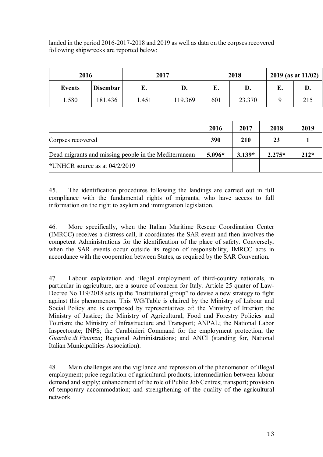landed in the period 2016-2017-2018 and 2019 as well as data on the corpses recovered following shipwrecks are reported below:

| 2016   |                 | 2017 |         | 2018 |        | $2019$ (as at $11/02$ ) |     |
|--------|-----------------|------|---------|------|--------|-------------------------|-----|
| Events | <b>Disembar</b> | Ľ.   | D.      | E.   | D.     | Ŀ.                      | "   |
| 1.580  | 181.436         | .451 | 119.369 | 601  | 23.370 |                         | 215 |

|                                                       | 2016     | 2017     | 2018     | 2019   |
|-------------------------------------------------------|----------|----------|----------|--------|
| Corpses recovered                                     | 390      | 210      | 23       |        |
| Dead migrants and missing people in the Mediterranean | $5.096*$ | $3.139*$ | $2.275*$ | $212*$ |
| *UNHCR source as at $04/2/2019$                       |          |          |          |        |

45. The identification procedures following the landings are carried out in full compliance with the fundamental rights of migrants, who have access to full information on the right to asylum and immigration legislation.

46. More specifically, when the Italian Maritime Rescue Coordination Center (IMRCC) receives a distress call, it coordinates the SAR event and then involves the competent Administrations for the identification of the place of safety. Conversely, when the SAR events occur outside its region of responsibility, IMRCC acts in accordance with the cooperation between States, as required by the SAR Convention.

47. Labour exploitation and illegal employment of third-country nationals, in particular in agriculture, are a source of concern for Italy. Article 25 quater of Law-Decree No.119/2018 sets up the ''Institutional group" to devise a new strategy to fight against this phenomenon. This WG/Table is chaired by the Ministry of Labour and Social Policy and is composed by representatives of: the Ministry of Interior; the Ministry of Justice; the Ministry of Agricultural, Food and Forestry Policies and Tourism; the Ministry of Infrastructure and Transport; ANPAL; the National Labor Inspectorate; INPS; the Carabinieri Command for the employment protection; the *Guardia di Finanza*; Regional Administrations; and ANCI (standing for, National Italian Municipalities Association).

48. Main challenges are the vigilance and repression of the phenomenon of illegal employment; price regulation of agricultural products; intermediation between labour demand and supply; enhancement of the role of Public Job Centres; transport; provision of temporary accommodation; and strengthening of the quality of the agricultural network.